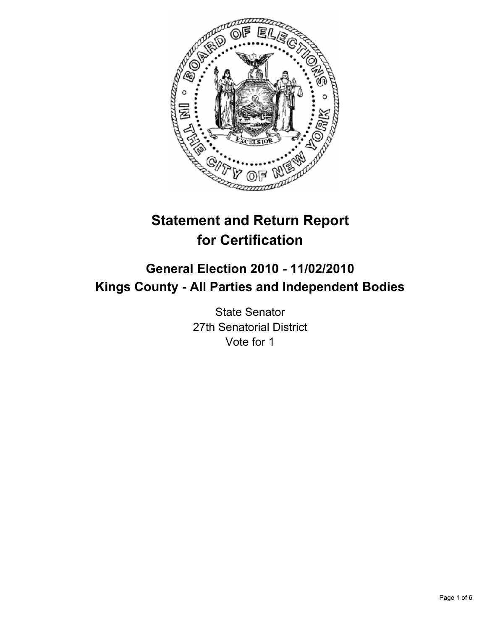

# **Statement and Return Report for Certification**

## **General Election 2010 - 11/02/2010 Kings County - All Parties and Independent Bodies**

State Senator 27th Senatorial District Vote for 1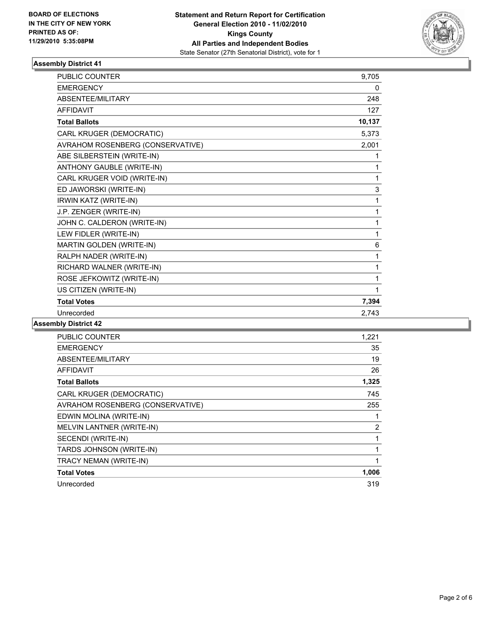

## **Assembly District 41**

| <b>PUBLIC COUNTER</b>            | 9,705  |
|----------------------------------|--------|
| <b>EMERGENCY</b>                 | 0      |
| ABSENTEE/MILITARY                | 248    |
| <b>AFFIDAVIT</b>                 | 127    |
| <b>Total Ballots</b>             | 10,137 |
| CARL KRUGER (DEMOCRATIC)         | 5,373  |
| AVRAHOM ROSENBERG (CONSERVATIVE) | 2,001  |
| ABE SILBERSTEIN (WRITE-IN)       | 1      |
| ANTHONY GAUBLE (WRITE-IN)        | 1      |
| CARL KRUGER VOID (WRITE-IN)      | 1      |
| ED JAWORSKI (WRITE-IN)           | 3      |
| IRWIN KATZ (WRITE-IN)            | 1      |
| J.P. ZENGER (WRITE-IN)           | 1      |
| JOHN C. CALDERON (WRITE-IN)      | 1      |
| LEW FIDLER (WRITE-IN)            | 1      |
| MARTIN GOLDEN (WRITE-IN)         | 6      |
| RALPH NADER (WRITE-IN)           | 1      |
| RICHARD WALNER (WRITE-IN)        | 1      |
| ROSE JEFKOWITZ (WRITE-IN)        | 1      |
| US CITIZEN (WRITE-IN)            | 1      |
| <b>Total Votes</b>               | 7,394  |
| Unrecorded                       | 2.743  |

#### **Assembly District 42**

| <b>PUBLIC COUNTER</b>            | 1,221 |
|----------------------------------|-------|
| <b>EMERGENCY</b>                 | 35    |
| ABSENTEE/MILITARY                | 19    |
| <b>AFFIDAVIT</b>                 | 26    |
| <b>Total Ballots</b>             | 1,325 |
| CARL KRUGER (DEMOCRATIC)         | 745   |
| AVRAHOM ROSENBERG (CONSERVATIVE) | 255   |
| EDWIN MOLINA (WRITE-IN)          |       |
| MELVIN LANTNER (WRITE-IN)        | 2     |
| SECENDI (WRITE-IN)               | 1     |
| TARDS JOHNSON (WRITE-IN)         |       |
| TRACY NEMAN (WRITE-IN)           | 1     |
| <b>Total Votes</b>               | 1,006 |
| Unrecorded                       | 319   |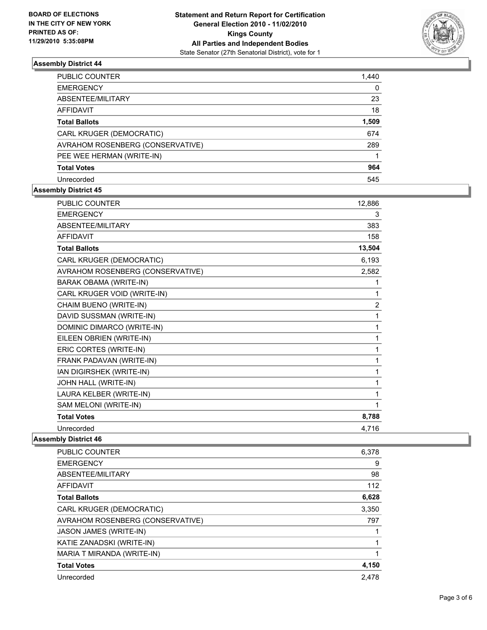

## **Assembly District 44**

| PUBLIC COUNTER                          | 1,440 |
|-----------------------------------------|-------|
| <b>EMERGENCY</b>                        | 0     |
| ABSENTEE/MILITARY                       | 23    |
| AFFIDAVIT                               | 18    |
| <b>Total Ballots</b>                    | 1,509 |
| CARL KRUGER (DEMOCRATIC)                | 674   |
| <b>AVRAHOM ROSENBERG (CONSERVATIVE)</b> | 289   |
| PEE WEE HERMAN (WRITE-IN)               |       |
| <b>Total Votes</b>                      | 964   |
| Unrecorded                              | 545   |

#### **Assembly District 45**

| PUBLIC COUNTER                   | 12,886         |
|----------------------------------|----------------|
| <b>EMERGENCY</b>                 | 3              |
| ABSENTEE/MILITARY                | 383            |
| <b>AFFIDAVIT</b>                 | 158            |
| <b>Total Ballots</b>             | 13,504         |
| CARL KRUGER (DEMOCRATIC)         | 6,193          |
| AVRAHOM ROSENBERG (CONSERVATIVE) | 2,582          |
| <b>BARAK OBAMA (WRITE-IN)</b>    | 1              |
| CARL KRUGER VOID (WRITE-IN)      | 1              |
| CHAIM BUENO (WRITE-IN)           | $\overline{2}$ |
| DAVID SUSSMAN (WRITE-IN)         | 1              |
| DOMINIC DIMARCO (WRITE-IN)       | 1              |
| EILEEN OBRIEN (WRITE-IN)         | 1              |
| ERIC CORTES (WRITE-IN)           | 1              |
| FRANK PADAVAN (WRITE-IN)         | 1              |
| IAN DIGIRSHEK (WRITE-IN)         | 1              |
| JOHN HALL (WRITE-IN)             | 1              |
| LAURA KELBER (WRITE-IN)          | 1              |
| SAM MELONI (WRITE-IN)            | 1              |
| <b>Total Votes</b>               | 8,788          |
| Unrecorded                       | 4,716          |

#### **Assembly District 46**

| <b>PUBLIC COUNTER</b>            | 6,378 |
|----------------------------------|-------|
| <b>EMERGENCY</b>                 | 9     |
| ABSENTEE/MILITARY                | 98    |
| <b>AFFIDAVIT</b>                 | 112   |
| <b>Total Ballots</b>             | 6,628 |
| CARL KRUGER (DEMOCRATIC)         | 3,350 |
| AVRAHOM ROSENBERG (CONSERVATIVE) | 797   |
| <b>JASON JAMES (WRITE-IN)</b>    |       |
| KATIE ZANADSKI (WRITE-IN)        |       |
| MARIA T MIRANDA (WRITE-IN)       |       |
| <b>Total Votes</b>               | 4,150 |
| Unrecorded                       | 2.478 |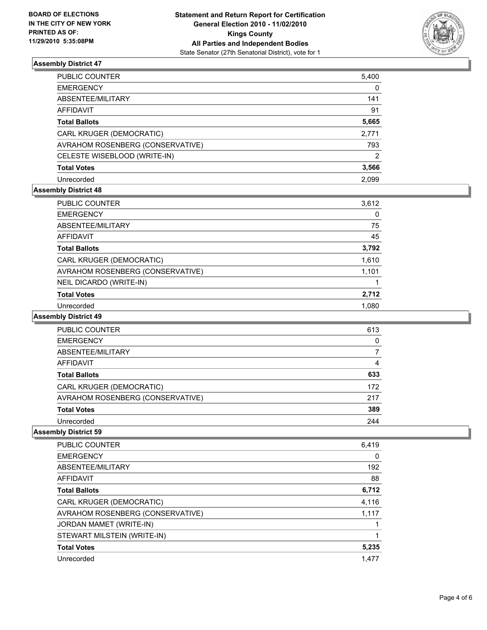

## **Assembly District 47**

| PUBLIC COUNTER                   | 5,400 |
|----------------------------------|-------|
| EMERGENCY                        | 0     |
| ABSENTEE/MILITARY                | 141   |
| AFFIDAVIT                        | 91    |
| Total Ballots                    | 5,665 |
| CARL KRUGER (DEMOCRATIC)         | 2,771 |
| AVRAHOM ROSENBERG (CONSERVATIVE) | 793   |
| CELESTE WISEBLOOD (WRITE-IN)     | 2     |
| <b>Total Votes</b>               | 3,566 |
| Unrecorded                       | 2.099 |

#### **Assembly District 48**

| PUBLIC COUNTER                   | 3,612 |
|----------------------------------|-------|
| <b>EMERGENCY</b>                 | 0     |
| ABSENTEE/MILITARY                | 75    |
| AFFIDAVIT                        | 45    |
| <b>Total Ballots</b>             | 3,792 |
| CARL KRUGER (DEMOCRATIC)         | 1,610 |
| AVRAHOM ROSENBERG (CONSERVATIVE) | 1,101 |
| NEIL DICARDO (WRITE-IN)          |       |
| <b>Total Votes</b>               | 2,712 |
| Unrecorded                       | 1.080 |

#### **Assembly District 49**

| PUBLIC COUNTER                   | 613 |
|----------------------------------|-----|
| <b>EMERGENCY</b>                 | 0   |
| ABSENTEE/MILITARY                | 7   |
| AFFIDAVIT                        | 4   |
| <b>Total Ballots</b>             | 633 |
| CARL KRUGER (DEMOCRATIC)         | 172 |
| AVRAHOM ROSENBERG (CONSERVATIVE) | 217 |
| <b>Total Votes</b>               | 389 |
| Unrecorded                       | 244 |

## **Assembly District 59**

| <b>PUBLIC COUNTER</b>            | 6,419 |
|----------------------------------|-------|
| <b>EMERGENCY</b>                 | 0     |
| ABSENTEE/MILITARY                | 192   |
| AFFIDAVIT                        | 88    |
| <b>Total Ballots</b>             | 6,712 |
| CARL KRUGER (DEMOCRATIC)         | 4,116 |
| AVRAHOM ROSENBERG (CONSERVATIVE) | 1.117 |
| JORDAN MAMET (WRITE-IN)          |       |
| STEWART MILSTEIN (WRITE-IN)      |       |
| <b>Total Votes</b>               | 5,235 |
| Unrecorded                       | 1,477 |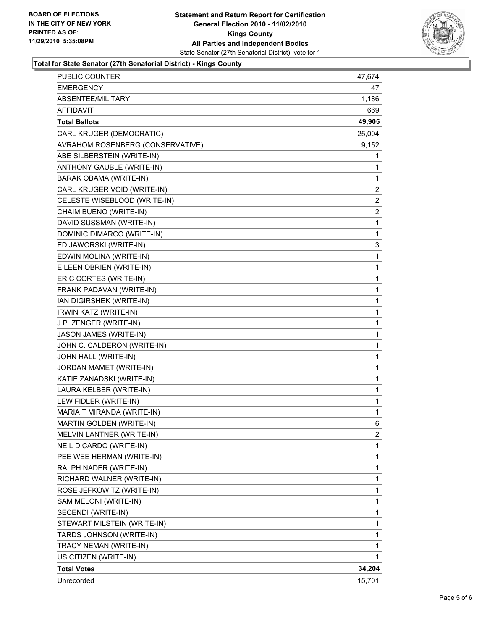

#### **Total for State Senator (27th Senatorial District) - Kings County**

| TRACY NEMAN (WRITE-IN)<br>US CITIZEN (WRITE-IN) | 1      |
|-------------------------------------------------|--------|
| TARDS JOHNSON (WRITE-IN)                        | 1      |
| STEWART MILSTEIN (WRITE-IN)                     | 1      |
| SECENDI (WRITE-IN)                              | 1      |
| SAM MELONI (WRITE-IN)                           | 1      |
| ROSE JEFKOWITZ (WRITE-IN)                       | 1      |
| RICHARD WALNER (WRITE-IN)                       | 1      |
| RALPH NADER (WRITE-IN)                          | 1      |
| PEE WEE HERMAN (WRITE-IN)                       | 1      |
| NEIL DICARDO (WRITE-IN)                         | 1      |
| MELVIN LANTNER (WRITE-IN)                       | 2      |
| MARTIN GOLDEN (WRITE-IN)                        | 6      |
| MARIA T MIRANDA (WRITE-IN)                      | 1      |
| LEW FIDLER (WRITE-IN)                           | 1      |
| LAURA KELBER (WRITE-IN)                         | 1      |
| KATIE ZANADSKI (WRITE-IN)                       | 1      |
| JORDAN MAMET (WRITE-IN)                         | 1      |
| JOHN HALL (WRITE-IN)                            | 1      |
| JOHN C. CALDERON (WRITE-IN)                     | 1      |
| JASON JAMES (WRITE-IN)                          | 1      |
| J.P. ZENGER (WRITE-IN)                          |        |
| IRWIN KATZ (WRITE-IN)                           | 1<br>1 |
| IAN DIGIRSHEK (WRITE-IN)                        |        |
| FRANK PADAVAN (WRITE-IN)                        | 1      |
| ERIC CORTES (WRITE-IN)                          | 1<br>1 |
| EILEEN OBRIEN (WRITE-IN)                        | 1      |
| EDWIN MOLINA (WRITE-IN)                         | 1      |
| ED JAWORSKI (WRITE-IN)                          | 3      |
| DOMINIC DIMARCO (WRITE-IN)                      | 1      |
| DAVID SUSSMAN (WRITE-IN)                        | 1      |
| CHAIM BUENO (WRITE-IN)                          | 2      |
| CELESTE WISEBLOOD (WRITE-IN)                    | 2      |
| CARL KRUGER VOID (WRITE-IN)                     | 2      |
| BARAK OBAMA (WRITE-IN)                          | 1      |
| ANTHONY GAUBLE (WRITE-IN)                       | 1      |
| ABE SILBERSTEIN (WRITE-IN)                      | 1      |
| AVRAHOM ROSENBERG (CONSERVATIVE)                | 9,152  |
| CARL KRUGER (DEMOCRATIC)                        | 25,004 |
| <b>Total Ballots</b>                            | 49,905 |
| AFFIDAVIT                                       | 669    |
| ABSENTEE/MILITARY                               | 1,186  |
| <b>EMERGENCY</b>                                | 47     |
| PUBLIC COUNTER                                  | 47,674 |
|                                                 |        |